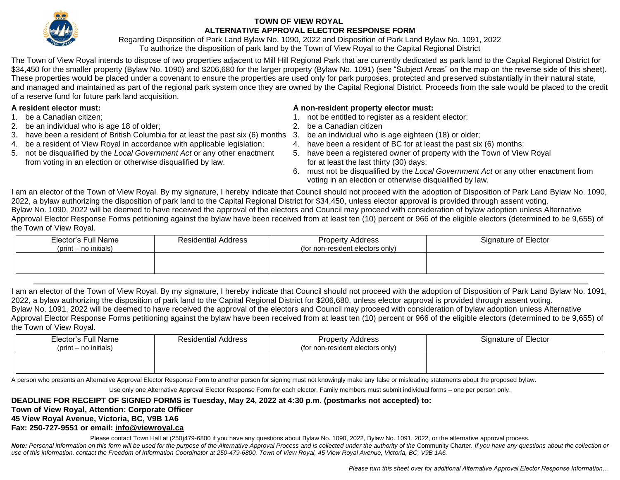

## **TOWN OF VIEW ROYAL ALTERNATIVE APPROVAL ELECTOR RESPONSE FORM**

Regarding Disposition of Park Land Bylaw No. 1090, 2022 and Disposition of Park Land Bylaw No. 1091, 2022 To authorize the disposition of park land by the Town of View Royal to the Capital Regional District

The Town of View Royal intends to dispose of two properties adjacent to Mill Hill Regional Park that are currently dedicated as park land to the Capital Regional District for \$34,450 for the smaller property (Bylaw No. 1090) and \$206,680 for the larger property (Bylaw No. 1091) (see "Subject Areas" on the map on the reverse side of this sheet). These properties would be placed under a covenant to ensure the properties are used only for park purposes, protected and preserved substantially in their natural state, and managed and maintained as part of the regional park system once they are owned by the Capital Regional District. Proceeds from the sale would be placed to the credit of a reserve fund for future park land acquisition.

- 
- 2. be an individual who is age 18 of older; 2. be a Canadian citizen
- 3. have been a resident of British Columbia for at least the past six (6) months 3. be an individual who is age eighteen (18) or older;
- 4. be a resident of View Royal in accordance with applicable legislation; 4. have been a resident of BC for at least the past six (6) months;
- 5. not be disqualified by the *Local Government Act* or any other enactment 5. have been a registered owner of property with the Town of View Royal from voting in an election or otherwise disqualified by law. for at least the last thirty (30) days;

## **A resident elector must: A non-resident property elector must:**

- 1. be a Canadian citizen; 1. not be entitled to register as a resident elector;
	-
	-
	-
	-
	- 6. must not be disqualified by the *Local Government Act* or any other enactment from voting in an election or otherwise disqualified by law.

I am an elector of the Town of View Royal. By my signature, I hereby indicate that Council should not proceed with the adoption of Disposition of Park Land Bylaw No. 1090, 2022, a bylaw authorizing the disposition of park land to the Capital Regional District for \$34,450, unless elector approval is provided through assent voting. Bylaw No. 1090, 2022 will be deemed to have received the approval of the electors and Council may proceed with consideration of bylaw adoption unless Alternative Approval Elector Response Forms petitioning against the bylaw have been received from at least ten (10) percent or 966 of the eligible electors (determined to be 9,655) of the Town of View Royal.

| Elector's Full Name<br>$(\text{print} - \text{no} \text{ in itials})$ | <b>Residential Address</b> | <b>Property Address</b><br>(for non-resident electors only) | Signature of Elector |
|-----------------------------------------------------------------------|----------------------------|-------------------------------------------------------------|----------------------|
|                                                                       |                            |                                                             |                      |

I am an elector of the Town of View Royal. By my signature, I hereby indicate that Council should not proceed with the adoption of Disposition of Park Land Bylaw No. 1091, 2022, a bylaw authorizing the disposition of park land to the Capital Regional District for \$206,680, unless elector approval is provided through assent voting. Bylaw No. 1091, 2022 will be deemed to have received the approval of the electors and Council may proceed with consideration of bylaw adoption unless Alternative Approval Elector Response Forms petitioning against the bylaw have been received from at least ten (10) percent or 966 of the eligible electors (determined to be 9,655) of the Town of View Royal.

| Elector's Full Name<br>$(\text{print} - \text{no} \text{ in itials})$ | <b>Residential Address</b> | <b>Property Address</b><br>(for non-resident electors only) | Signature of Elector |
|-----------------------------------------------------------------------|----------------------------|-------------------------------------------------------------|----------------------|
|                                                                       |                            |                                                             |                      |

A person who presents an Alternative Approval Elector Response Form to another person for signing must not knowingly make any false or misleading statements about the proposed bylaw.

Use only one Alternative Approval Elector Response Form for each elector. Family members must submit individual forms – one per person only.

## **DEADLINE FOR RECEIPT OF SIGNED FORMS is Tuesday, May 24, 2022 at 4:30 p.m. (postmarks not accepted) to:**

## **Town of View Royal, Attention: Corporate Officer**

# **45 View Royal Avenue, Victoria, BC, V9B 1A6**

## **Fax: 250-727-9551 or email: [info@viewroyal.ca](mailto:info@viewroyal.ca)**

Please contact Town Hall at (250)479-6800 if you have any questions about Bylaw No. 1090, 2022, Bylaw No. 1091, 2022, or the alternative approval process. Note: Personal information on this form will be used for the purpose of the Alternative Approval Process and is collected under the authority of the Community Charter. If you have any questions about the collection or use of this information, contact the Freedom of Information Coordinator at 250-479-6800, Town of View Royal, 45 View Royal Avenue, Victoria, BC, V9B 1A6.